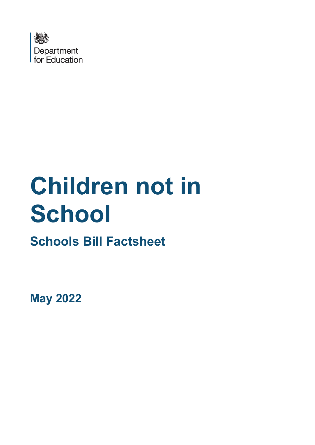

# **Children not in School**

# **Schools Bill Factsheet**

**May 2022**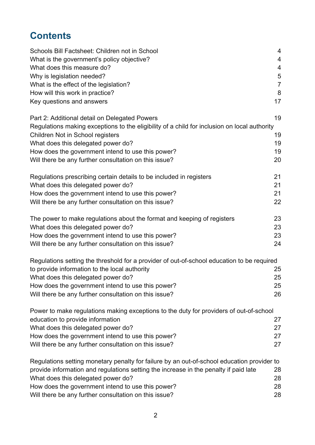# **Contents**

| Schools Bill Factsheet: Children not in School                                               | $\overline{4}$ |
|----------------------------------------------------------------------------------------------|----------------|
| What is the government's policy objective?                                                   | $\overline{4}$ |
| What does this measure do?                                                                   | $\overline{4}$ |
| Why is legislation needed?                                                                   | 5              |
| What is the effect of the legislation?                                                       | $\overline{7}$ |
| How will this work in practice?                                                              | 8              |
| Key questions and answers                                                                    | 17             |
| Part 2: Additional detail on Delegated Powers                                                | 19             |
| Regulations making exceptions to the eligibility of a child for inclusion on local authority |                |
| Children Not in School registers                                                             | 19             |
| What does this delegated power do?                                                           | 19             |
| How does the government intend to use this power?                                            | 19             |
| Will there be any further consultation on this issue?                                        | 20             |
| Regulations prescribing certain details to be included in registers                          | 21             |
| What does this delegated power do?                                                           | 21             |
| How does the government intend to use this power?                                            | 21             |
| Will there be any further consultation on this issue?                                        | 22             |
| The power to make regulations about the format and keeping of registers                      | 23             |
| What does this delegated power do?                                                           | 23             |
| How does the government intend to use this power?                                            | 23             |
| Will there be any further consultation on this issue?                                        | 24             |
| Regulations setting the threshold for a provider of out-of-school education to be required   |                |
| to provide information to the local authority                                                | 25             |
| What does this delegated power do?                                                           | 25             |
| How does the government intend to use this power?                                            | 25             |
| Will there be any further consultation on this issue?                                        | 26             |
| Power to make regulations making exceptions to the duty for providers of out-of-school       |                |
| education to provide information                                                             | 27             |
| What does this delegated power do?                                                           | 27             |
| How does the government intend to use this power?                                            | 27             |
| Will there be any further consultation on this issue?                                        | 27             |
| Regulations setting monetary penalty for failure by an out-of-school education provider to   |                |
| provide information and regulations setting the increase in the penalty if paid late         | 28             |
| What does this delegated power do?                                                           | 28             |
| How does the government intend to use this power?                                            | 28             |
| Will there be any further consultation on this issue?                                        | 28             |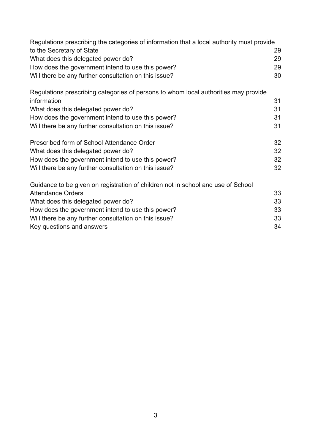| Regulations prescribing the categories of information that a local authority must provide |    |
|-------------------------------------------------------------------------------------------|----|
| to the Secretary of State                                                                 | 29 |
| What does this delegated power do?                                                        | 29 |
| How does the government intend to use this power?                                         | 29 |
| Will there be any further consultation on this issue?                                     | 30 |
| Regulations prescribing categories of persons to whom local authorities may provide       |    |
| information                                                                               | 31 |
| What does this delegated power do?                                                        | 31 |
| How does the government intend to use this power?                                         | 31 |
| Will there be any further consultation on this issue?                                     | 31 |
| Prescribed form of School Attendance Order                                                | 32 |
| What does this delegated power do?                                                        | 32 |
| How does the government intend to use this power?                                         | 32 |
| Will there be any further consultation on this issue?                                     | 32 |
| Guidance to be given on registration of children not in school and use of School          |    |
| <b>Attendance Orders</b>                                                                  | 33 |
| What does this delegated power do?                                                        | 33 |
| How does the government intend to use this power?                                         | 33 |
| Will there be any further consultation on this issue?                                     | 33 |
| Key questions and answers                                                                 | 34 |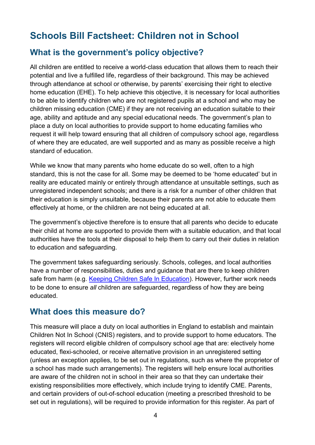# <span id="page-3-0"></span>**Schools Bill Factsheet: Children not in School**

#### <span id="page-3-1"></span>**What is the government's policy objective?**

All children are entitled to receive a world-class education that allows them to reach their potential and live a fulfilled life, regardless of their background. This may be achieved through attendance at school or otherwise, by parents' exercising their right to elective home education (EHE). To help achieve this objective, it is necessary for local authorities to be able to identify children who are not registered pupils at a school and who may be children missing education (CME) if they are not receiving an education suitable to their age, ability and aptitude and any special educational needs. The government's plan to place a duty on local authorities to provide support to home educating families who request it will help toward ensuring that all children of compulsory school age, regardless of where they are educated, are well supported and as many as possible receive a high standard of education.

While we know that many parents who home educate do so well, often to a high standard, this is not the case for all. Some may be deemed to be 'home educated' but in reality are educated mainly or entirely through attendance at unsuitable settings, such as unregistered independent schools; and there is a risk for a number of other children that their education is simply unsuitable, because their parents are not able to educate them effectively at home, or the children are not being educated at all.

The government's objective therefore is to ensure that all parents who decide to educate their child at home are supported to provide them with a suitable education, and that local authorities have the tools at their disposal to help them to carry out their duties in relation to education and safeguarding.

The government takes safeguarding seriously. Schools, colleges, and local authorities have a number of responsibilities, duties and guidance that are there to keep children safe from harm (e.g. [Keeping Children Safe In Education\)](https://www.gov.uk/government/publications/keeping-children-safe-in-education--2). However, further work needs to be done to ensure *all* children are safeguarded, regardless of how they are being educated.

#### <span id="page-3-2"></span>**What does this measure do?**

This measure will place a duty on local authorities in England to establish and maintain Children Not In School (CNIS) registers, and to provide support to home educators. The registers will record eligible children of compulsory school age that are: electively home educated, flexi-schooled, or receive alternative provision in an unregistered setting (unless an exception applies, to be set out in regulations, such as where the proprietor of a school has made such arrangements). The registers will help ensure local authorities are aware of the children not in school in their area so that they can undertake their existing responsibilities more effectively, which include trying to identify CME. Parents, and certain providers of out-of-school education (meeting a prescribed threshold to be set out in regulations), will be required to provide information for this register. As part of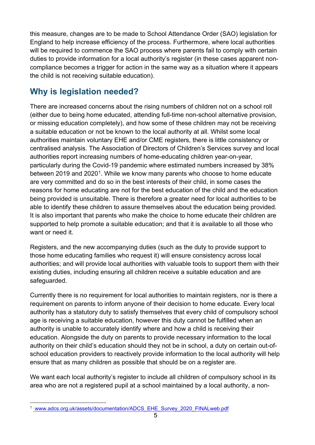this measure, changes are to be made to School Attendance Order (SAO) legislation for England to help increase efficiency of the process. Furthermore, where local authorities will be required to commence the SAO process where parents fail to comply with certain duties to provide information for a local authority's register (in these cases apparent noncompliance becomes a trigger for action in the same way as a situation where it appears the child is not receiving suitable education).

# <span id="page-4-0"></span>**Why is legislation needed?**

There are increased concerns about the rising numbers of children not on a school roll (either due to being home educated, attending full-time non-school alternative provision, or missing education completely), and how some of these children may not be receiving a suitable education or not be known to the local authority at all. Whilst some local authorities maintain voluntary EHE and/or CME registers, there is little consistency or centralised analysis. The Association of Directors of Children's Services survey and local authorities report increasing numbers of home-educating children year-on-year, particularly during the Covid-19 pandemic where estimated numbers increased by 38% between 20[1](#page-4-1)9 and 2020<sup>1</sup>. While we know many parents who choose to home educate are very committed and do so in the best interests of their child, in some cases the reasons for home educating are not for the best education of the child and the education being provided is unsuitable. There is therefore a greater need for local authorities to be able to identify these children to assure themselves about the education being provided. It is also important that parents who make the choice to home educate their children are supported to help promote a suitable education; and that it is available to all those who want or need it.

Registers, and the new accompanying duties (such as the duty to provide support to those home educating families who request it) will ensure consistency across local authorities; and will provide local authorities with valuable tools to support them with their existing duties, including ensuring all children receive a suitable education and are safeguarded.

Currently there is no requirement for local authorities to maintain registers, nor is there a requirement on parents to inform anyone of their decision to home educate. Every local authority has a statutory duty to satisfy themselves that every child of compulsory school age is receiving a suitable education, however this duty cannot be fulfilled when an authority is unable to accurately identify where and how a child is receiving their education. Alongside the duty on parents to provide necessary information to the local authority on their child's education should they not be in school, a duty on certain out-ofschool education providers to reactively provide information to the local authority will help ensure that as many children as possible that should be on a register are.

We want each local authority's register to include all children of compulsory school in its area who are not a registered pupil at a school maintained by a local authority, a non-

<span id="page-4-1"></span><sup>&</sup>lt;sup>1</sup> www.adcs.org.uk/assets/documentation/ADCS\_EHE\_Survey\_2020\_FINALweb.pdf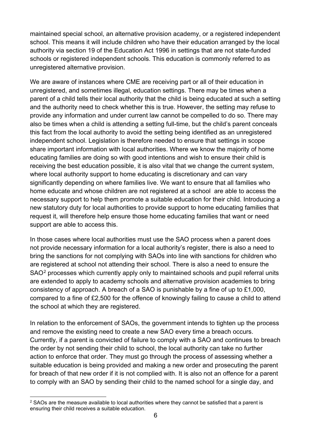maintained special school, an alternative provision academy, or a registered independent school. This means it will include children who have their education arranged by the local authority via section 19 of the Education Act 1996 in settings that are not state-funded schools or registered independent schools. This education is commonly referred to as unregistered alternative provision.

We are aware of instances where CME are receiving part or all of their education in unregistered, and sometimes illegal, education settings. There may be times when a parent of a child tells their local authority that the child is being educated at such a setting and the authority need to check whether this is true. However, the setting may refuse to provide any information and under current law cannot be compelled to do so. There may also be times when a child is attending a setting full-time, but the child's parent conceals this fact from the local authority to avoid the setting being identified as an unregistered independent school. Legislation is therefore needed to ensure that settings in scope share important information with local authorities. Where we know the majority of home educating families are doing so with good intentions and wish to ensure their child is receiving the best education possible, it is also vital that we change the current system, where local authority support to home educating is discretionary and can vary significantly depending on where families live. We want to ensure that all families who home educate and whose children are not registered at a school are able to access the necessary support to help them promote a suitable education for their child. Introducing a new statutory duty for local authorities to provide support to home educating families that request it, will therefore help ensure those home educating families that want or need support are able to access this.

In those cases where local authorities must use the SAO process when a parent does not provide necessary information for a local authority's register, there is also a need to bring the sanctions for not complying with SAOs into line with sanctions for children who are registered at school not attending their school. There is also a need to ensure the SAO<sup>[2](#page-5-0)</sup> processes which currently apply only to maintained schools and pupil referral units are extended to apply to academy schools and alternative provision academies to bring consistency of approach. A breach of a SAO is punishable by a fine of up to £1,000, compared to a fine of £2,500 for the offence of knowingly failing to cause a child to attend the school at which they are registered.

In relation to the enforcement of SAOs, the government intends to tighten up the process and remove the existing need to create a new SAO every time a breach occurs. Currently, if a parent is convicted of failure to comply with a SAO and continues to breach the order by not sending their child to school, the local authority can take no further action to enforce that order. They must go through the process of assessing whether a suitable education is being provided and making a new order and prosecuting the parent for breach of that new order if it is not complied with. It is also not an offence for a parent to comply with an SAO by sending their child to the named school for a single day, and

<span id="page-5-0"></span> $2$  SAOs are the measure available to local authorities where they cannot be satisfied that a parent is ensuring their child receives a suitable education.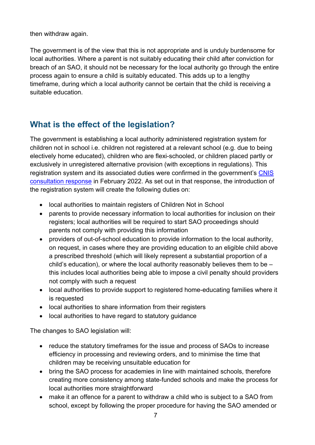then withdraw again.

The government is of the view that this is not appropriate and is unduly burdensome for local authorities. Where a parent is not suitably educating their child after conviction for breach of an SAO, it should not be necessary for the local authority go through the entire process again to ensure a child is suitably educated. This adds up to a lengthy timeframe, during which a local authority cannot be certain that the child is receiving a suitable education.

# <span id="page-6-0"></span>**What is the effect of the legislation?**

The government is establishing a local authority administered registration system for children not in school i.e. children not registered at a relevant school (e.g. due to being electively home educated), children who are flexi-schooled, or children placed partly or exclusively in unregistered alternative provision (with exceptions in regulations). This registration system and its associated duties were confirmed in the government's [CNIS](https://www.gov.uk/government/consultations/children-not-in-school) [consultation response](https://www.gov.uk/government/consultations/children-not-in-school) in February 2022. As set out in that response, the introduction of the registration system will create the following duties on:

- local authorities to maintain registers of Children Not in School
- parents to provide necessary information to local authorities for inclusion on their registers; local authorities will be required to start SAO proceedings should parents not comply with providing this information
- providers of out-of-school education to provide information to the local authority, on request, in cases where they are providing education to an eligible child above a prescribed threshold (which will likely represent a substantial proportion of a child's education), or where the local authority reasonably believes them to be – this includes local authorities being able to impose a civil penalty should providers not comply with such a request
- local authorities to provide support to registered home-educating families where it is requested
- local authorities to share information from their registers
- local authorities to have regard to statutory guidance

The changes to SAO legislation will:

- reduce the statutory timeframes for the issue and process of SAOs to increase efficiency in processing and reviewing orders, and to minimise the time that children may be receiving unsuitable education for
- bring the SAO process for academies in line with maintained schools, therefore creating more consistency among state-funded schools and make the process for local authorities more straightforward
- make it an offence for a parent to withdraw a child who is subject to a SAO from school, except by following the proper procedure for having the SAO amended or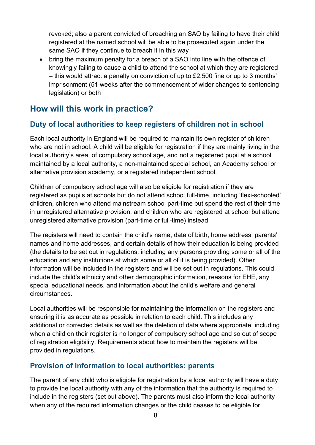revoked; also a parent convicted of breaching an SAO by failing to have their child registered at the named school will be able to be prosecuted again under the same SAO if they continue to breach it in this way

• bring the maximum penalty for a breach of a SAO into line with the offence of knowingly failing to cause a child to attend the school at which they are registered – this would attract a penalty on conviction of up to £2,500 fine or up to 3 months' imprisonment (51 weeks after the commencement of wider changes to sentencing legislation) or both

# <span id="page-7-0"></span>**How will this work in practice?**

#### **Duty of local authorities to keep registers of children not in school**

Each local authority in England will be required to maintain its own register of children who are not in school. A child will be eligible for registration if they are mainly living in the local authority's area, of compulsory school age, and not a registered pupil at a school maintained by a local authority, a non-maintained special school, an Academy school or alternative provision academy, or a registered independent school.

Children of compulsory school age will also be eligible for registration if they are registered as pupils at schools but do not attend school full-time, including 'flexi-schooled' children, children who attend mainstream school part-time but spend the rest of their time in unregistered alternative provision, and children who are registered at school but attend unregistered alternative provision (part-time or full-time) instead.

The registers will need to contain the child's name, date of birth, home address, parents' names and home addresses, and certain details of how their education is being provided (the details to be set out in regulations, including any persons providing some or all of the education and any institutions at which some or all of it is being provided). Other information will be included in the registers and will be set out in regulations. This could include the child's ethnicity and other demographic information, reasons for EHE, any special educational needs, and information about the child's welfare and general circumstances.

Local authorities will be responsible for maintaining the information on the registers and ensuring it is as accurate as possible in relation to each child. This includes any additional or corrected details as well as the deletion of data where appropriate, including when a child on their register is no longer of compulsory school age and so out of scope of registration eligibility. Requirements about how to maintain the registers will be provided in regulations.

#### **Provision of information to local authorities: parents**

The parent of any child who is eligible for registration by a local authority will have a duty to provide the local authority with any of the information that the authority is required to include in the registers (set out above). The parents must also inform the local authority when any of the required information changes or the child ceases to be eligible for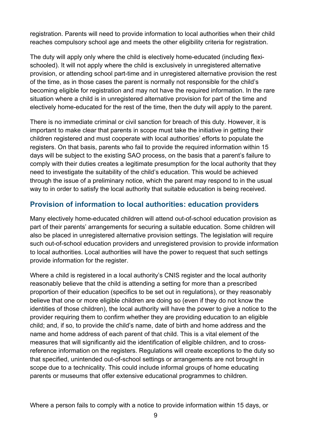registration. Parents will need to provide information to local authorities when their child reaches compulsory school age and meets the other eligibility criteria for registration.

The duty will apply only where the child is electively home-educated (including flexischooled). It will not apply where the child is exclusively in unregistered alternative provision, or attending school part-time and in unregistered alternative provision the rest of the time, as in those cases the parent is normally not responsible for the child's becoming eligible for registration and may not have the required information. In the rare situation where a child is in unregistered alternative provision for part of the time and electively home-educated for the rest of the time, then the duty will apply to the parent.

There is no immediate criminal or civil sanction for breach of this duty. However, it is important to make clear that parents in scope must take the initiative in getting their children registered and must cooperate with local authorities' efforts to populate the registers. On that basis, parents who fail to provide the required information within 15 days will be subject to the existing SAO process, on the basis that a parent's failure to comply with their duties creates a legitimate presumption for the local authority that they need to investigate the suitability of the child's education. This would be achieved through the issue of a preliminary notice, which the parent may respond to in the usual way to in order to satisfy the local authority that suitable education is being received.

#### **Provision of information to local authorities: education providers**

Many electively home-educated children will attend out-of-school education provision as part of their parents' arrangements for securing a suitable education. Some children will also be placed in unregistered alternative provision settings. The legislation will require such out-of-school education providers and unregistered provision to provide information to local authorities. Local authorities will have the power to request that such settings provide information for the register.

Where a child is registered in a local authority's CNIS register and the local authority reasonably believe that the child is attending a setting for more than a prescribed proportion of their education (specifics to be set out in regulations), or they reasonably believe that one or more eligible children are doing so (even if they do not know the identities of those children), the local authority will have the power to give a notice to the provider requiring them to confirm whether they are providing education to an eligible child; and, if so, to provide the child's name, date of birth and home address and the name and home address of each parent of that child. This is a vital element of the measures that will significantly aid the identification of eligible children, and to crossreference information on the registers. Regulations will create exceptions to the duty so that specified, unintended out-of-school settings or arrangements are not brought in scope due to a technicality. This could include informal groups of home educating parents or museums that offer extensive educational programmes to children.

Where a person fails to comply with a notice to provide information within 15 days, or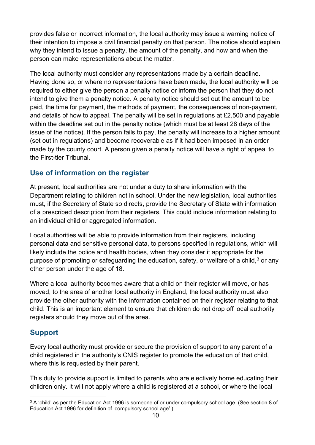provides false or incorrect information, the local authority may issue a warning notice of their intention to impose a civil financial penalty on that person. The notice should explain why they intend to issue a penalty, the amount of the penalty, and how and when the person can make representations about the matter.

The local authority must consider any representations made by a certain deadline. Having done so, or where no representations have been made, the local authority will be required to either give the person a penalty notice or inform the person that they do not intend to give them a penalty notice. A penalty notice should set out the amount to be paid, the time for payment, the methods of payment, the consequences of non-payment, and details of how to appeal. The penalty will be set in regulations at £2,500 and payable within the deadline set out in the penalty notice (which must be at least 28 days of the issue of the notice). If the person fails to pay, the penalty will increase to a higher amount (set out in regulations) and become recoverable as if it had been imposed in an order made by the county court. A person given a penalty notice will have a right of appeal to the First-tier Tribunal.

#### **Use of information on the register**

At present, local authorities are not under a duty to share information with the Department relating to children not in school. Under the new legislation, local authorities must, if the Secretary of State so directs, provide the Secretary of State with information of a prescribed description from their registers. This could include information relating to an individual child or aggregated information.

Local authorities will be able to provide information from their registers, including personal data and sensitive personal data, to persons specified in regulations, which will likely include the police and health bodies, when they consider it appropriate for the purpose of promoting or safeguarding the education, safety, or welfare of a child, $^3$  $^3$  or any other person under the age of 18.

Where a local authority becomes aware that a child on their register will move, or has moved, to the area of another local authority in England, the local authority must also provide the other authority with the information contained on their register relating to that child. This is an important element to ensure that children do not drop off local authority registers should they move out of the area.

#### **Support**

Every local authority must provide or secure the provision of support to any parent of a child registered in the authority's CNIS register to promote the education of that child, where this is requested by their parent.

This duty to provide support is limited to parents who are electively home educating their children only. It will not apply where a child is registered at a school, or where the local

<span id="page-9-0"></span><sup>&</sup>lt;sup>3</sup> A 'child' as per the Education Act 1996 is someone of or under compulsory school age. (See section 8 of Education Act 1996 for definition of 'compulsory school age'.)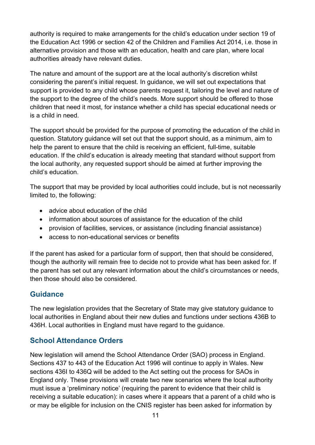authority is required to make arrangements for the child's education under section 19 of the Education Act 1996 or section 42 of the Children and Families Act 2014, i.e. those in alternative provision and those with an education, health and care plan, where local authorities already have relevant duties.

The nature and amount of the support are at the local authority's discretion whilst considering the parent's initial request. In guidance, we will set out expectations that support is provided to any child whose parents request it, tailoring the level and nature of the support to the degree of the child's needs. More support should be offered to those children that need it most, for instance whether a child has special educational needs or is a child in need.

The support should be provided for the purpose of promoting the education of the child in question. Statutory guidance will set out that the support should, as a minimum, aim to help the parent to ensure that the child is receiving an efficient, full-time, suitable education. If the child's education is already meeting that standard without support from the local authority, any requested support should be aimed at further improving the child's education.

The support that may be provided by local authorities could include, but is not necessarily limited to, the following:

- advice about education of the child
- information about sources of assistance for the education of the child
- provision of facilities, services, or assistance (including financial assistance)
- access to non-educational services or benefits

If the parent has asked for a particular form of support, then that should be considered, though the authority will remain free to decide not to provide what has been asked for. If the parent has set out any relevant information about the child's circumstances or needs, then those should also be considered.

#### **Guidance**

The new legislation provides that the Secretary of State may give statutory guidance to local authorities in England about their new duties and functions under sections 436B to 436H. Local authorities in England must have regard to the guidance.

#### **School Attendance Orders**

New legislation will amend the School Attendance Order (SAO) process in England. Sections 437 to 443 of the Education Act 1996 will continue to apply in Wales. New sections 436I to 436Q will be added to the Act setting out the process for SAOs in England only. These provisions will create two new scenarios where the local authority must issue a 'preliminary notice' (requiring the parent to evidence that their child is receiving a suitable education): in cases where it appears that a parent of a child who is or may be eligible for inclusion on the CNIS register has been asked for information by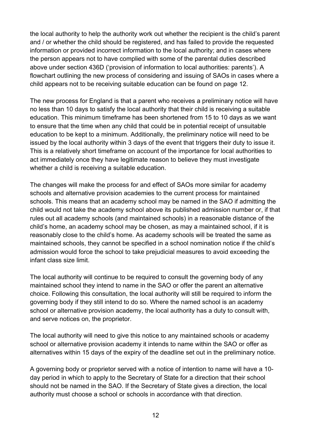the local authority to help the authority work out whether the recipient is the child's parent and / or whether the child should be registered, and has failed to provide the requested information or provided incorrect information to the local authority; and in cases where the person appears not to have complied with some of the parental duties described above under section 436D ('provision of information to local authorities: parents'). A flowchart outlining the new process of considering and issuing of SAOs in cases where a child appears not to be receiving suitable education can be found on page 12.

The new process for England is that a parent who receives a preliminary notice will have no less than 10 days to satisfy the local authority that their child is receiving a suitable education. This minimum timeframe has been shortened from 15 to 10 days as we want to ensure that the time when any child that could be in potential receipt of unsuitable education to be kept to a minimum. Additionally, the preliminary notice will need to be issued by the local authority within 3 days of the event that triggers their duty to issue it. This is a relatively short timeframe on account of the importance for local authorities to act immediately once they have legitimate reason to believe they must investigate whether a child is receiving a suitable education.

The changes will make the process for and effect of SAOs more similar for academy schools and alternative provision academies to the current process for maintained schools. This means that an academy school may be named in the SAO if admitting the child would not take the academy school above its published admission number or, if that rules out all academy schools (and maintained schools) in a reasonable distance of the child's home, an academy school may be chosen, as may a maintained school, if it is reasonably close to the child's home. As academy schools will be treated the same as maintained schools, they cannot be specified in a school nomination notice if the child's admission would force the school to take prejudicial measures to avoid exceeding the infant class size limit.

The local authority will continue to be required to consult the governing body of any maintained school they intend to name in the SAO or offer the parent an alternative choice. Following this consultation, the local authority will still be required to inform the governing body if they still intend to do so. Where the named school is an academy school or alternative provision academy, the local authority has a duty to consult with, and serve notices on, the proprietor.

The local authority will need to give this notice to any maintained schools or academy school or alternative provision academy it intends to name within the SAO or offer as alternatives within 15 days of the expiry of the deadline set out in the preliminary notice.

A governing body or proprietor served with a notice of intention to name will have a 10 day period in which to apply to the Secretary of State for a direction that their school should not be named in the SAO. If the Secretary of State gives a direction, the local authority must choose a school or schools in accordance with that direction.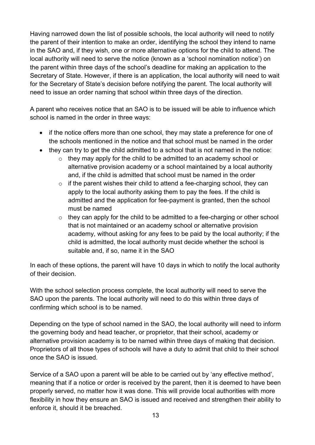Having narrowed down the list of possible schools, the local authority will need to notify the parent of their intention to make an order, identifying the school they intend to name in the SAO and, if they wish, one or more alternative options for the child to attend. The local authority will need to serve the notice (known as a 'school nomination notice') on the parent within three days of the school's deadline for making an application to the Secretary of State. However, if there is an application, the local authority will need to wait for the Secretary of State's decision before notifying the parent. The local authority will need to issue an order naming that school within three days of the direction.

A parent who receives notice that an SAO is to be issued will be able to influence which school is named in the order in three ways:

- if the notice offers more than one school, they may state a preference for one of the schools mentioned in the notice and that school must be named in the order
- they can try to get the child admitted to a school that is not named in the notice:
	- $\circ$  they may apply for the child to be admitted to an academy school or alternative provision academy or a school maintained by a local authority and, if the child is admitted that school must be named in the order
	- $\circ$  if the parent wishes their child to attend a fee-charging school, they can apply to the local authority asking them to pay the fees. If the child is admitted and the application for fee-payment is granted, then the school must be named
	- $\circ$  they can apply for the child to be admitted to a fee-charging or other school that is not maintained or an academy school or alternative provision academy, without asking for any fees to be paid by the local authority; if the child is admitted, the local authority must decide whether the school is suitable and, if so, name it in the SAO

In each of these options, the parent will have 10 days in which to notify the local authority of their decision.

With the school selection process complete, the local authority will need to serve the SAO upon the parents. The local authority will need to do this within three days of confirming which school is to be named.

Depending on the type of school named in the SAO, the local authority will need to inform the governing body and head teacher, or proprietor, that their school, academy or alternative provision academy is to be named within three days of making that decision. Proprietors of all those types of schools will have a duty to admit that child to their school once the SAO is issued.

Service of a SAO upon a parent will be able to be carried out by 'any effective method', meaning that if a notice or order is received by the parent, then it is deemed to have been properly served, no matter how it was done. This will provide local authorities with more flexibility in how they ensure an SAO is issued and received and strengthen their ability to enforce it, should it be breached.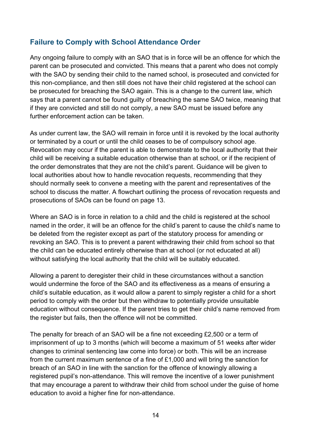#### **Failure to Comply with School Attendance Order**

Any ongoing failure to comply with an SAO that is in force will be an offence for which the parent can be prosecuted and convicted. This means that a parent who does not comply with the SAO by sending their child to the named school, is prosecuted and convicted for this non-compliance, and then still does not have their child registered at the school can be prosecuted for breaching the SAO again. This is a change to the current law, which says that a parent cannot be found guilty of breaching the same SAO twice, meaning that if they are convicted and still do not comply, a new SAO must be issued before any further enforcement action can be taken.

As under current law, the SAO will remain in force until it is revoked by the local authority or terminated by a court or until the child ceases to be of compulsory school age. Revocation may occur if the parent is able to demonstrate to the local authority that their child will be receiving a suitable education otherwise than at school, or if the recipient of the order demonstrates that they are not the child's parent. Guidance will be given to local authorities about how to handle revocation requests, recommending that they should normally seek to convene a meeting with the parent and representatives of the school to discuss the matter. A flowchart outlining the process of revocation requests and prosecutions of SAOs can be found on page 13.

Where an SAO is in force in relation to a child and the child is registered at the school named in the order, it will be an offence for the child's parent to cause the child's name to be deleted from the register except as part of the statutory process for amending or revoking an SAO. This is to prevent a parent withdrawing their child from school so that the child can be educated entirely otherwise than at school (or not educated at all) without satisfying the local authority that the child will be suitably educated.

Allowing a parent to deregister their child in these circumstances without a sanction would undermine the force of the SAO and its effectiveness as a means of ensuring a child's suitable education, as it would allow a parent to simply register a child for a short period to comply with the order but then withdraw to potentially provide unsuitable education without consequence. If the parent tries to get their child's name removed from the register but fails, then the offence will not be committed.

The penalty for breach of an SAO will be a fine not exceeding £2,500 or a term of imprisonment of up to 3 months (which will become a maximum of 51 weeks after wider changes to criminal sentencing law come into force) or both. This will be an increase from the current maximum sentence of a fine of £1,000 and will bring the sanction for breach of an SAO in line with the sanction for the offence of knowingly allowing a registered pupil's non-attendance. This will remove the incentive of a lower punishment that may encourage a parent to withdraw their child from school under the guise of home education to avoid a higher fine for non-attendance.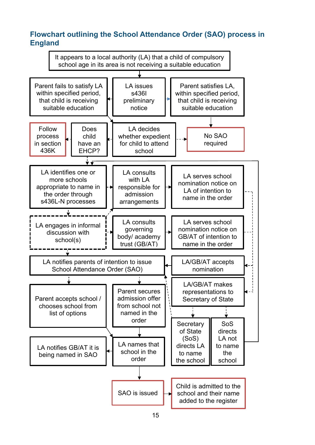#### **Flowchart outlining the School Attendance Order (SAO) process in England**

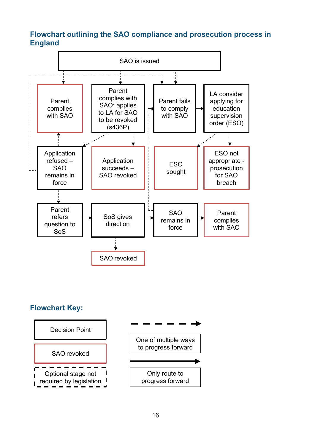#### **Flowchart outlining the SAO compliance and prosecution process in England**



#### **Flowchart Key:**

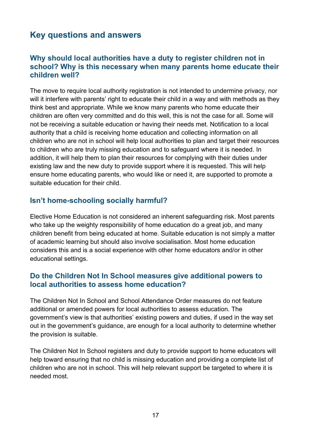# <span id="page-16-0"></span>**Key questions and answers**

#### **Why should local authorities have a duty to register children not in school? Why is this necessary when many parents home educate their children well?**

The move to require local authority registration is not intended to undermine privacy, nor will it interfere with parents' right to educate their child in a way and with methods as they think best and appropriate. While we know many parents who home educate their children are often very committed and do this well, this is not the case for all. Some will not be receiving a suitable education or having their needs met. Notification to a local authority that a child is receiving home education and collecting information on all children who are not in school will help local authorities to plan and target their resources to children who are truly missing education and to safeguard where it is needed. In addition, it will help them to plan their resources for complying with their duties under existing law and the new duty to provide support where it is requested. This will help ensure home educating parents, who would like or need it, are supported to promote a suitable education for their child.

#### **Isn't home-schooling socially harmful?**

Elective Home Education is not considered an inherent safeguarding risk. Most parents who take up the weighty responsibility of home education do a great job, and many children benefit from being educated at home. Suitable education is not simply a matter of academic learning but should also involve socialisation. Most home education considers this and is a social experience with other home educators and/or in other educational settings.

#### **Do the Children Not In School measures give additional powers to local authorities to assess home education?**

The Children Not In School and School Attendance Order measures do not feature additional or amended powers for local authorities to assess education. The government's view is that authorities' existing powers and duties, if used in the way set out in the government's guidance, are enough for a local authority to determine whether the provision is suitable.

The Children Not In School registers and duty to provide support to home educators will help toward ensuring that no child is missing education and providing a complete list of children who are not in school. This will help relevant support be targeted to where it is needed most.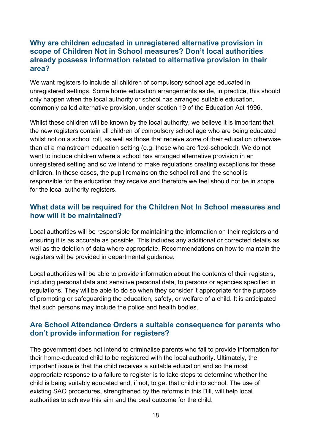#### **Why are children educated in unregistered alternative provision in scope of Children Not in School measures? Don't local authorities already possess information related to alternative provision in their area?**

We want registers to include all children of compulsory school age educated in unregistered settings. Some home education arrangements aside, in practice, this should only happen when the local authority or school has arranged suitable education, commonly called alternative provision, under section 19 of the Education Act 1996.

Whilst these children will be known by the local authority, we believe it is important that the new registers contain all children of compulsory school age who are being educated whilst not on a school roll, as well as those that receive *some* of their education otherwise than at a mainstream education setting (e.g. those who are flexi-schooled). We do not want to include children where a school has arranged alternative provision in an unregistered setting and so we intend to make regulations creating exceptions for these children. In these cases, the pupil remains on the school roll and the school is responsible for the education they receive and therefore we feel should not be in scope for the local authority registers.

#### **What data will be required for the Children Not In School measures and how will it be maintained?**

Local authorities will be responsible for maintaining the information on their registers and ensuring it is as accurate as possible. This includes any additional or corrected details as well as the deletion of data where appropriate. Recommendations on how to maintain the registers will be provided in departmental guidance.

Local authorities will be able to provide information about the contents of their registers, including personal data and sensitive personal data, to persons or agencies specified in regulations. They will be able to do so when they consider it appropriate for the purpose of promoting or safeguarding the education, safety, or welfare of a child. It is anticipated that such persons may include the police and health bodies.

#### **Are School Attendance Orders a suitable consequence for parents who don't provide information for registers?**

The government does not intend to criminalise parents who fail to provide information for their home-educated child to be registered with the local authority. Ultimately, the important issue is that the child receives a suitable education and so the most appropriate response to a failure to register is to take steps to determine whether the child is being suitably educated and, if not, to get that child into school. The use of existing SAO procedures, strengthened by the reforms in this Bill, will help local authorities to achieve this aim and the best outcome for the child.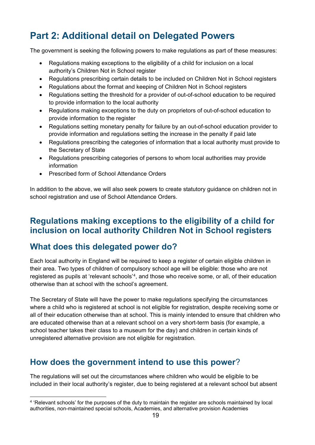# <span id="page-18-0"></span>**Part 2: Additional detail on Delegated Powers**

The government is seeking the following powers to make regulations as part of these measures:

- Regulations making exceptions to the eligibility of a child for inclusion on a local authority's Children Not in School register
- Regulations prescribing certain details to be included on Children Not in School registers
- Regulations about the format and keeping of Children Not in School registers
- Regulations setting the threshold for a provider of out-of-school education to be required to provide information to the local authority
- Regulations making exceptions to the duty on proprietors of out-of-school education to provide information to the register
- Regulations setting monetary penalty for failure by an out-of-school education provider to provide information and regulations setting the increase in the penalty if paid late
- Regulations prescribing the categories of information that a local authority must provide to the Secretary of State
- Regulations prescribing categories of persons to whom local authorities may provide information
- Prescribed form of School Attendance Orders

In addition to the above, we will also seek powers to create statutory guidance on children not in school registration and use of School Attendance Orders.

#### <span id="page-18-1"></span>**Regulations making exceptions to the eligibility of a child for inclusion on local authority Children Not in School registers**

#### <span id="page-18-2"></span>**What does this delegated power do?**

Each local authority in England will be required to keep a register of certain eligible children in their area. Two types of children of compulsory school age will be eligible: those who are not registered as pupils at 'relevant schools'<sup>[4](#page-18-4)</sup>, and those who receive some, or all, of their education otherwise than at school with the school's agreement.

The Secretary of State will have the power to make regulations specifying the circumstances where a child who is registered at school is not eligible for registration, despite receiving some or all of their education otherwise than at school. This is mainly intended to ensure that children who are educated otherwise than at a relevant school on a very short-term basis (for example, a school teacher takes their class to a museum for the day) and children in certain kinds of unregistered alternative provision are not eligible for registration.

# <span id="page-18-3"></span>**How does the government intend to use this power**?

The regulations will set out the circumstances where children who would be eligible to be included in their local authority's register, due to being registered at a relevant school but absent

<span id="page-18-4"></span><sup>4</sup> 'Relevant schools' for the purposes of the duty to maintain the register are schools maintained by local authorities, non-maintained special schools, Academies, and alternative provision Academies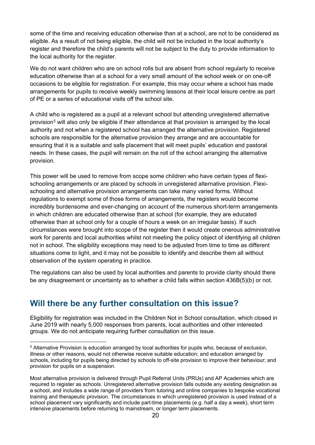some of the time and receiving education otherwise than at a school, are not to be considered as eligible. As a result of not being eligible, the child will not be included in the local authority's register and therefore the child's parents will not be subject to the duty to provide information to the local authority for the register.

We do not want children who are on school rolls but are absent from school regularly to receive education otherwise than at a school for a very small amount of the school week or on one-off occasions to be eligible for registration. For example, this may occur where a school has made arrangements for pupils to receive weekly swimming lessons at their local leisure centre as part of PE or a series of educational visits off the school site.

A child who is registered as a pupil at a relevant school but attending unregistered alternative provision<sup>[5](#page-19-1)</sup> will also only be eligible if their attendance at that provision is arranged by the local authority and not when a registered school has arranged the alternative provision. Registered schools are responsible for the alternative provision they arrange and are accountable for ensuring that it is a suitable and safe placement that will meet pupils' education and pastoral needs. In these cases, the pupil will remain on the roll of the school arranging the alternative provision.

This power will be used to remove from scope some children who have certain types of flexischooling arrangements or are placed by schools in unregistered alternative provision. Flexischooling and alternative provision arrangements can take many varied forms. Without regulations to exempt some of those forms of arrangements, the registers would become incredibly burdensome and ever-changing on account of the numerous short-term arrangements in which children are educated otherwise than at school (for example, they are educated otherwise than at school only for a couple of hours a week on an irregular basis). If such circumstances were brought into scope of the register then it would create onerous administrative work for parents and local authorities whilst not meeting the policy object of identifying all children not in school. The eligibility exceptions may need to be adjusted from time to time as different situations come to light, and it may not be possible to identify and describe them all without observation of the system operating in practice.

The regulations can also be used by local authorities and parents to provide clarity should there be any disagreement or uncertainty as to whether a child falls within section 436B(5)(b) or not.

# <span id="page-19-0"></span>**Will there be any further consultation on this issue?**

Eligibility for registration was included in the Children Not in School consultation, which closed in June 2019 with nearly 5,000 responses from parents, local authorities and other interested groups. We do not anticipate requiring further consultation on this issue.

<span id="page-19-1"></span><sup>5</sup> Alternative Provision is education arranged by local authorities for pupils who, because of exclusion, illness or other reasons, would not otherwise receive suitable education; and education arranged by schools, including for pupils being directed by schools to off-site provision to improve their behaviour; and provision for pupils on a suspension.

Most alternative provision is delivered through Pupil Referral Units (PRUs) and AP Academies which are required to register as schools. Unregistered alternative provision falls outside any existing designation as a school, and includes a wide range of providers from tutoring and online companies to bespoke vocational training and therapeutic provision. The circumstances in which unregistered provision is used instead of a school placement vary significantly and include part-time placements (e.g. half a day a week), short term intensive placements before returning to mainstream, or longer term placements.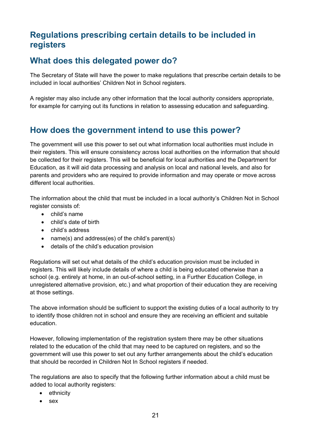# <span id="page-20-0"></span>**Regulations prescribing certain details to be included in registers**

# <span id="page-20-1"></span>**What does this delegated power do?**

The Secretary of State will have the power to make regulations that prescribe certain details to be included in local authorities' Children Not in School registers.

A register may also include any other information that the local authority considers appropriate, for example for carrying out its functions in relation to assessing education and safeguarding.

# <span id="page-20-2"></span>**How does the government intend to use this power?**

The government will use this power to set out what information local authorities must include in their registers. This will ensure consistency across local authorities on the information that should be collected for their registers. This will be beneficial for local authorities and the Department for Education, as it will aid data processing and analysis on local and national levels, and also for parents and providers who are required to provide information and may operate or move across different local authorities.

The information about the child that must be included in a local authority's Children Not in School register consists of:

- child's name
- child's date of birth
- child's address
- name(s) and address(es) of the child's parent(s)
- details of the child's education provision

Regulations will set out what details of the child's education provision must be included in registers. This will likely include details of where a child is being educated otherwise than a school (e.g. entirely at home, in an out-of-school setting, in a Further Education College, in unregistered alternative provision, etc.) and what proportion of their education they are receiving at those settings.

The above information should be sufficient to support the existing duties of a local authority to try to identify those children not in school and ensure they are receiving an efficient and suitable education.

However, following implementation of the registration system there may be other situations related to the education of the child that may need to be captured on registers, and so the government will use this power to set out any further arrangements about the child's education that should be recorded in Children Not In School registers if needed.

The regulations are also to specify that the following further information about a child must be added to local authority registers:

- ethnicity
- sex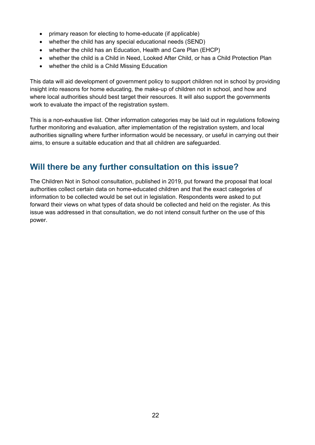- primary reason for electing to home-educate (if applicable)
- whether the child has any special educational needs (SEND)
- whether the child has an Education, Health and Care Plan (EHCP)
- whether the child is a Child in Need, Looked After Child, or has a Child Protection Plan
- whether the child is a Child Missing Education

This data will aid development of government policy to support children not in school by providing insight into reasons for home educating, the make-up of children not in school, and how and where local authorities should best target their resources. It will also support the governments work to evaluate the impact of the registration system.

This is a non-exhaustive list. Other information categories may be laid out in regulations following further monitoring and evaluation, after implementation of the registration system, and local authorities signalling where further information would be necessary, or useful in carrying out their aims, to ensure a suitable education and that all children are safeguarded.

# <span id="page-21-0"></span>**Will there be any further consultation on this issue?**

The Children Not in School consultation, published in 2019, put forward the proposal that local authorities collect certain data on home-educated children and that the exact categories of information to be collected would be set out in legislation. Respondents were asked to put forward their views on what types of data should be collected and held on the register. As this issue was addressed in that consultation, we do not intend consult further on the use of this power.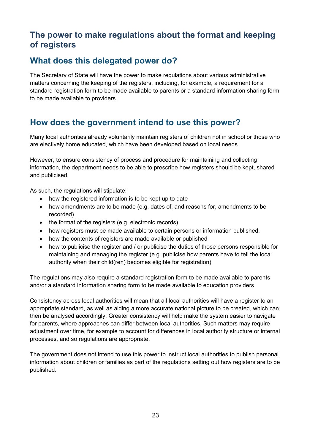# <span id="page-22-0"></span>**The power to make regulations about the format and keeping of registers**

# <span id="page-22-1"></span>**What does this delegated power do?**

The Secretary of State will have the power to make regulations about various administrative matters concerning the keeping of the registers, including, for example, a requirement for a standard registration form to be made available to parents or a standard information sharing form to be made available to providers.

# <span id="page-22-2"></span>**How does the government intend to use this power?**

Many local authorities already voluntarily maintain registers of children not in school or those who are electively home educated, which have been developed based on local needs.

However, to ensure consistency of process and procedure for maintaining and collecting information, the department needs to be able to prescribe how registers should be kept, shared and publicised.

As such, the regulations will stipulate:

- how the registered information is to be kept up to date
- how amendments are to be made (e.g. dates of, and reasons for, amendments to be recorded)
- the format of the registers (e.g. electronic records)
- how registers must be made available to certain persons or information published.
- how the contents of registers are made available or published
- how to publicise the register and / or publicise the duties of those persons responsible for maintaining and managing the register (e.g. publicise how parents have to tell the local authority when their child(ren) becomes eligible for registration)

The regulations may also require a standard registration form to be made available to parents and/or a standard information sharing form to be made available to education providers

Consistency across local authorities will mean that all local authorities will have a register to an appropriate standard, as well as aiding a more accurate national picture to be created, which can then be analysed accordingly. Greater consistency will help make the system easier to navigate for parents, where approaches can differ between local authorities. Such matters may require adjustment over time, for example to account for differences in local authority structure or internal processes, and so regulations are appropriate.

The government does not intend to use this power to instruct local authorities to publish personal information about children or families as part of the regulations setting out how registers are to be published.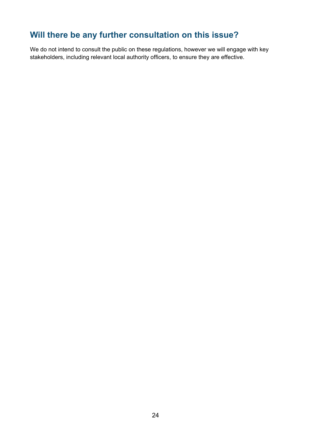# <span id="page-23-0"></span>**Will there be any further consultation on this issue?**

We do not intend to consult the public on these regulations, however we will engage with key stakeholders, including relevant local authority officers, to ensure they are effective.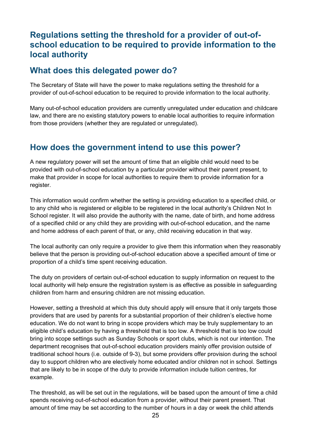## <span id="page-24-0"></span>**Regulations setting the threshold for a provider of out-ofschool education to be required to provide information to the local authority**

#### <span id="page-24-1"></span>**What does this delegated power do?**

The Secretary of State will have the power to make regulations setting the threshold for a provider of out-of-school education to be required to provide information to the local authority.

Many out-of-school education providers are currently unregulated under education and childcare law, and there are no existing statutory powers to enable local authorities to require information from those providers (whether they are regulated or unregulated).

#### <span id="page-24-2"></span>**How does the government intend to use this power?**

A new regulatory power will set the amount of time that an eligible child would need to be provided with out-of-school education by a particular provider without their parent present, to make that provider in scope for local authorities to require them to provide information for a register.

This information would confirm whether the setting is providing education to a specified child, or to any child who is registered or eligible to be registered in the local authority's Children Not In School register. It will also provide the authority with the name, date of birth, and home address of a specified child or any child they are providing with out-of-school education, and the name and home address of each parent of that, or any, child receiving education in that way.

The local authority can only require a provider to give them this information when they reasonably believe that the person is providing out-of-school education above a specified amount of time or proportion of a child's time spent receiving education.

The duty on providers of certain out-of-school education to supply information on request to the local authority will help ensure the registration system is as effective as possible in safeguarding children from harm and ensuring children are not missing education.

However, setting a threshold at which this duty should apply will ensure that it only targets those providers that are used by parents for a substantial proportion of their children's elective home education. We do not want to bring in scope providers which may be truly supplementary to an eligible child's education by having a threshold that is too low. A threshold that is too low could bring into scope settings such as Sunday Schools or sport clubs, which is not our intention. The department recognises that out-of-school education providers mainly offer provision outside of traditional school hours (i.e. outside of 9-3), but some providers offer provision during the school day to support children who are electively home educated and/or children not in school. Settings that are likely to be in scope of the duty to provide information include tuition centres, for example.

The threshold, as will be set out in the regulations, will be based upon the amount of time a child spends receiving out-of-school education from a provider, without their parent present. That amount of time may be set according to the number of hours in a day or week the child attends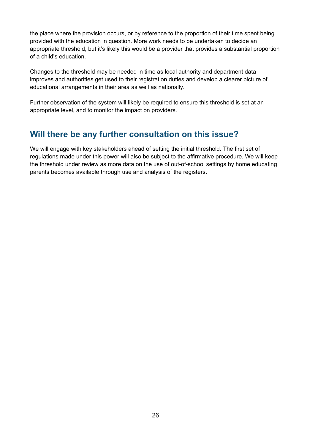the place where the provision occurs, or by reference to the proportion of their time spent being provided with the education in question. More work needs to be undertaken to decide an appropriate threshold, but it's likely this would be a provider that provides a substantial proportion of a child's education.

Changes to the threshold may be needed in time as local authority and department data improves and authorities get used to their registration duties and develop a clearer picture of educational arrangements in their area as well as nationally.

Further observation of the system will likely be required to ensure this threshold is set at an appropriate level, and to monitor the impact on providers.

# <span id="page-25-0"></span>**Will there be any further consultation on this issue?**

We will engage with key stakeholders ahead of setting the initial threshold. The first set of regulations made under this power will also be subject to the affirmative procedure. We will keep the threshold under review as more data on the use of out-of-school settings by home educating parents becomes available through use and analysis of the registers.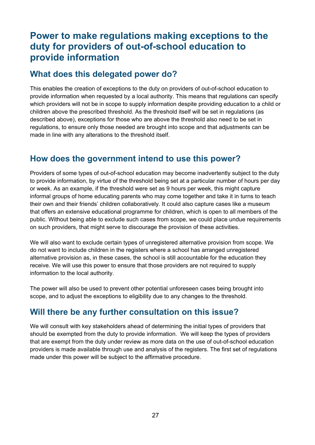# <span id="page-26-0"></span>**Power to make regulations making exceptions to the duty for providers of out-of-school education to provide information**

## <span id="page-26-1"></span>**What does this delegated power do?**

This enables the creation of exceptions to the duty on providers of out-of-school education to provide information when requested by a local authority. This means that regulations can specify which providers will not be in scope to supply information despite providing education to a child or children above the prescribed threshold. As the threshold itself will be set in regulations (as described above), exceptions for those who are above the threshold also need to be set in regulations, to ensure only those needed are brought into scope and that adjustments can be made in line with any alterations to the threshold itself.

# <span id="page-26-2"></span>**How does the government intend to use this power?**

Providers of some types of out-of-school education may become inadvertently subject to the duty to provide information, by virtue of the threshold being set at a particular number of hours per day or week. As an example, if the threshold were set as 9 hours per week, this might capture informal groups of home educating parents who may come together and take it in turns to teach their own and their friends' children collaboratively. It could also capture cases like a museum that offers an extensive educational programme for children, which is open to all members of the public. Without being able to exclude such cases from scope, we could place undue requirements on such providers, that might serve to discourage the provision of these activities.

We will also want to exclude certain types of unregistered alternative provision from scope. We do not want to include children in the registers where a school has arranged unregistered alternative provision as, in these cases, the school is still accountable for the education they receive. We will use this power to ensure that those providers are not required to supply information to the local authority.

The power will also be used to prevent other potential unforeseen cases being brought into scope, and to adjust the exceptions to eligibility due to any changes to the threshold.

# <span id="page-26-3"></span>**Will there be any further consultation on this issue?**

We will consult with key stakeholders ahead of determining the initial types of providers that should be exempted from the duty to provide information. We will keep the types of providers that are exempt from the duty under review as more data on the use of out-of-school education providers is made available through use and analysis of the registers. The first set of regulations made under this power will be subject to the affirmative procedure.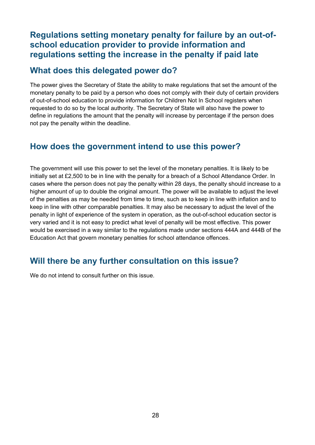## <span id="page-27-0"></span>**Regulations setting monetary penalty for failure by an out-ofschool education provider to provide information and regulations setting the increase in the penalty if paid late**

#### <span id="page-27-1"></span>**What does this delegated power do?**

The power gives the Secretary of State the ability to make regulations that set the amount of the monetary penalty to be paid by a person who does not comply with their duty of certain providers of out-of-school education to provide information for Children Not In School registers when requested to do so by the local authority. The Secretary of State will also have the power to define in regulations the amount that the penalty will increase by percentage if the person does not pay the penalty within the deadline.

# <span id="page-27-2"></span>**How does the government intend to use this power?**

The government will use this power to set the level of the monetary penalties. It is likely to be initially set at £2,500 to be in line with the penalty for a breach of a School Attendance Order. In cases where the person does not pay the penalty within 28 days, the penalty should increase to a higher amount of up to double the original amount. The power will be available to adjust the level of the penalties as may be needed from time to time, such as to keep in line with inflation and to keep in line with other comparable penalties. It may also be necessary to adjust the level of the penalty in light of experience of the system in operation, as the out-of-school education sector is very varied and it is not easy to predict what level of penalty will be most effective. This power would be exercised in a way similar to the regulations made under sections 444A and 444B of the Education Act that govern monetary penalties for school attendance offences.

# <span id="page-27-3"></span>**Will there be any further consultation on this issue?**

We do not intend to consult further on this issue.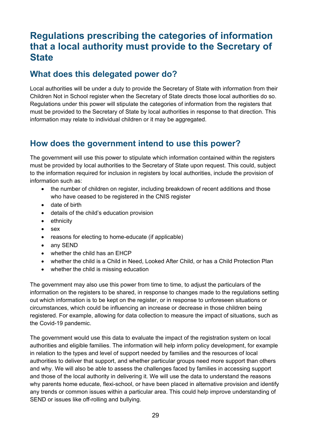# <span id="page-28-0"></span>**Regulations prescribing the categories of information that a local authority must provide to the Secretary of State**

# <span id="page-28-1"></span>**What does this delegated power do?**

Local authorities will be under a duty to provide the Secretary of State with information from their Children Not in School register when the Secretary of State directs those local authorities do so. Regulations under this power will stipulate the categories of information from the registers that must be provided to the Secretary of State by local authorities in response to that direction. This information may relate to individual children or it may be aggregated.

# <span id="page-28-2"></span>**How does the government intend to use this power?**

The government will use this power to stipulate which information contained within the registers must be provided by local authorities to the Secretary of State upon request. This could, subject to the information required for inclusion in registers by local authorities, include the provision of information such as:

- the number of children on register, including breakdown of recent additions and those who have ceased to be registered in the CNIS register
- date of birth
- details of the child's education provision
- ethnicity
- sex
- reasons for electing to home-educate (if applicable)
- any SEND
- whether the child has an EHCP
- whether the child is a Child in Need, Looked After Child, or has a Child Protection Plan
- whether the child is missing education

The government may also use this power from time to time, to adjust the particulars of the information on the registers to be shared, in response to changes made to the regulations setting out which information is to be kept on the register, or in response to unforeseen situations or circumstances, which could be influencing an increase or decrease in those children being registered. For example, allowing for data collection to measure the impact of situations, such as the Covid-19 pandemic.

The government would use this data to evaluate the impact of the registration system on local authorities and eligible families. The information will help inform policy development, for example in relation to the types and level of support needed by families and the resources of local authorities to deliver that support, and whether particular groups need more support than others and why. We will also be able to assess the challenges faced by families in accessing support and those of the local authority in delivering it. We will use the data to understand the reasons why parents home educate, flexi-school, or have been placed in alternative provision and identify any trends or common issues within a particular area. This could help improve understanding of SEND or issues like off-rolling and bullying.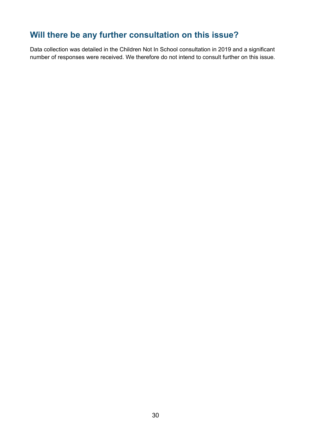# <span id="page-29-0"></span>**Will there be any further consultation on this issue?**

Data collection was detailed in the Children Not In School consultation in 2019 and a significant number of responses were received. We therefore do not intend to consult further on this issue.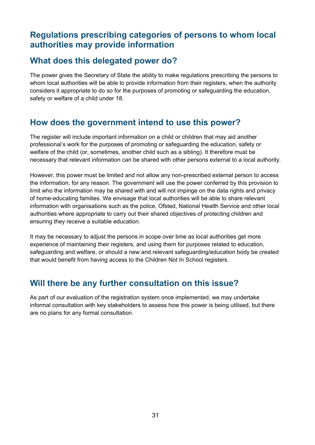#### <span id="page-30-0"></span>**Regulations prescribing categories of persons to whom local authorities may provide information**

## <span id="page-30-1"></span>**What does this delegated power do?**

The power gives the Secretary of State the ability to make regulations prescribing the persons to whom local authorities will be able to provide information from their registers, when the authority considers it appropriate to do so for the purposes of promoting or safeguarding the education, safety or welfare of a child under 18.

# <span id="page-30-2"></span>**How does the government intend to use this power?**

The register will include important information on a child or children that may aid another professional's work for the purposes of promoting or safeguarding the education, safety or welfare of the child (or, sometimes, another child such as a sibling). It therefore must be necessary that relevant information can be shared with other persons external to a local authority.

However, this power must be limited and not allow any non-prescribed external person to access the information, for any reason. The government will use the power conferred by this provision to limit who the information may be shared with and will not impinge on the data rights and privacy of home-educating families. We envisage that local authorities will be able to share relevant information with organisations such as the police, Ofsted, National Health Service and other local authorities where appropriate to carry out their shared objectives of protecting children and ensuring they receive a suitable education.

It may be necessary to adjust the persons in scope over time as local authorities get more experience of maintaining their registers, and using them for purposes related to education, safeguarding and welfare, or should a new and relevant safeguarding/education body be created that would benefit from having access to the Children Not In School registers.

# <span id="page-30-3"></span>**Will there be any further consultation on this issue?**

As part of our evaluation of the registration system once implemented, we may undertake informal consultation with key stakeholders to assess how this power is being utilised, but there are no plans for any formal consultation.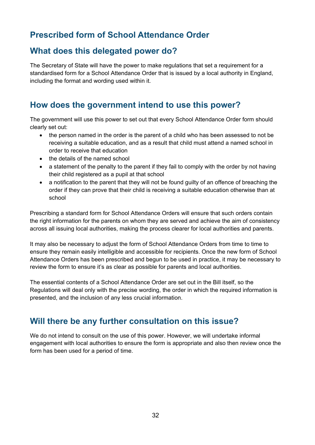# <span id="page-31-0"></span>**Prescribed form of School Attendance Order**

# <span id="page-31-1"></span>**What does this delegated power do?**

The Secretary of State will have the power to make regulations that set a requirement for a standardised form for a School Attendance Order that is issued by a local authority in England, including the format and wording used within it.

# <span id="page-31-2"></span>**How does the government intend to use this power?**

The government will use this power to set out that every School Attendance Order form should clearly set out:

- the person named in the order is the parent of a child who has been assessed to not be receiving a suitable education, and as a result that child must attend a named school in order to receive that education
- the details of the named school
- a statement of the penalty to the parent if they fail to comply with the order by not having their child registered as a pupil at that school
- a notification to the parent that they will not be found guilty of an offence of breaching the order if they can prove that their child is receiving a suitable education otherwise than at school

Prescribing a standard form for School Attendance Orders will ensure that such orders contain the right information for the parents on whom they are served and achieve the aim of consistency across all issuing local authorities, making the process clearer for local authorities and parents.

It may also be necessary to adjust the form of School Attendance Orders from time to time to ensure they remain easily intelligible and accessible for recipients. Once the new form of School Attendance Orders has been prescribed and begun to be used in practice, it may be necessary to review the form to ensure it's as clear as possible for parents and local authorities.

The essential contents of a School Attendance Order are set out in the Bill itself, so the Regulations will deal only with the precise wording, the order in which the required information is presented, and the inclusion of any less crucial information.

#### <span id="page-31-3"></span>**Will there be any further consultation on this issue?**

We do not intend to consult on the use of this power. However, we will undertake informal engagement with local authorities to ensure the form is appropriate and also then review once the form has been used for a period of time.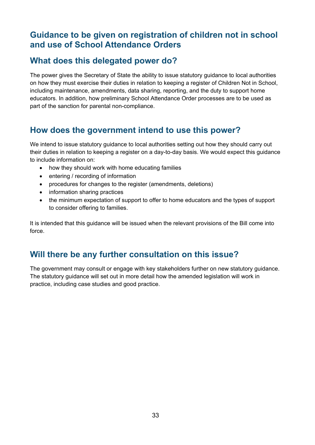#### <span id="page-32-0"></span>**Guidance to be given on registration of children not in school and use of School Attendance Orders**

# <span id="page-32-1"></span>**What does this delegated power do?**

The power gives the Secretary of State the ability to issue statutory guidance to local authorities on how they must exercise their duties in relation to keeping a register of Children Not in School, including maintenance, amendments, data sharing, reporting, and the duty to support home educators. In addition, how preliminary School Attendance Order processes are to be used as part of the sanction for parental non-compliance.

# <span id="page-32-2"></span>**How does the government intend to use this power?**

We intend to issue statutory guidance to local authorities setting out how they should carry out their duties in relation to keeping a register on a day-to-day basis. We would expect this guidance to include information on:

- how they should work with home educating families
- entering / recording of information
- procedures for changes to the register (amendments, deletions)
- information sharing practices
- the minimum expectation of support to offer to home educators and the types of support to consider offering to families.

It is intended that this guidance will be issued when the relevant provisions of the Bill come into force.

# <span id="page-32-3"></span>**Will there be any further consultation on this issue?**

The government may consult or engage with key stakeholders further on new statutory guidance. The statutory guidance will set out in more detail how the amended legislation will work in practice, including case studies and good practice.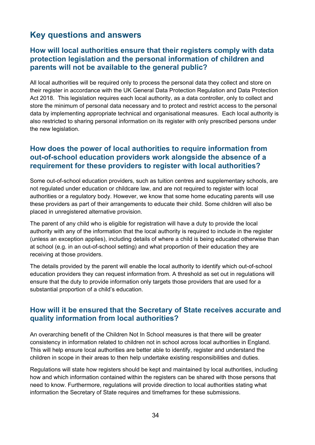# <span id="page-33-0"></span>**Key questions and answers**

#### **How will local authorities ensure that their registers comply with data protection legislation and the personal information of children and parents will not be available to the general public?**

All local authorities will be required only to process the personal data they collect and store on their register in accordance with the UK General Data Protection Regulation and Data Protection Act 2018. This legislation requires each local authority, as a data controller, only to collect and store the minimum of personal data necessary and to protect and restrict access to the personal data by implementing appropriate technical and organisational measures. Each local authority is also restricted to sharing personal information on its register with only prescribed persons under the new legislation.

#### **How does the power of local authorities to require information from out-of-school education providers work alongside the absence of a requirement for these providers to register with local authorities?**

Some out-of-school education providers, such as tuition centres and supplementary schools, are not regulated under education or childcare law, and are not required to register with local authorities or a regulatory body. However, we know that some home educating parents will use these providers as part of their arrangements to educate their child. Some children will also be placed in unregistered alternative provision.

The parent of any child who is eligible for registration will have a duty to provide the local authority with any of the information that the local authority is required to include in the register (unless an exception applies), including details of where a child is being educated otherwise than at school (e.g. in an out-of-school setting) and what proportion of their education they are receiving at those providers.

The details provided by the parent will enable the local authority to identify which out-of-school education providers they can request information from. A threshold as set out in regulations will ensure that the duty to provide information only targets those providers that are used for a substantial proportion of a child's education.

#### **How will it be ensured that the Secretary of State receives accurate and quality information from local authorities?**

An overarching benefit of the Children Not In School measures is that there will be greater consistency in information related to children not in school across local authorities in England. This will help ensure local authorities are better able to identify, register and understand the children in scope in their areas to then help undertake existing responsibilities and duties.

Regulations will state how registers should be kept and maintained by local authorities, including how and which information contained within the registers can be shared with those persons that need to know. Furthermore, regulations will provide direction to local authorities stating what information the Secretary of State requires and timeframes for these submissions.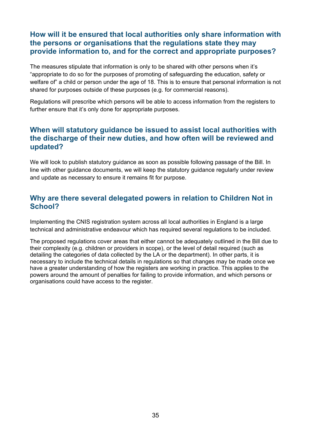#### **How will it be ensured that local authorities only share information with the persons or organisations that the regulations state they may provide information to, and for the correct and appropriate purposes?**

The measures stipulate that information is only to be shared with other persons when it's "appropriate to do so for the purposes of promoting of safeguarding the education, safety or welfare of" a child or person under the age of 18. This is to ensure that personal information is not shared for purposes outside of these purposes (e.g. for commercial reasons).

Regulations will prescribe which persons will be able to access information from the registers to further ensure that it's only done for appropriate purposes.

#### **When will statutory guidance be issued to assist local authorities with the discharge of their new duties, and how often will be reviewed and updated?**

We will look to publish statutory guidance as soon as possible following passage of the Bill. In line with other guidance documents, we will keep the statutory guidance regularly under review and update as necessary to ensure it remains fit for purpose.

#### **Why are there several delegated powers in relation to Children Not in School?**

Implementing the CNIS registration system across all local authorities in England is a large technical and administrative endeavour which has required several regulations to be included.

The proposed regulations cover areas that either cannot be adequately outlined in the Bill due to their complexity (e.g. children or providers in scope), or the level of detail required (such as detailing the categories of data collected by the LA or the department). In other parts, it is necessary to include the technical details in regulations so that changes may be made once we have a greater understanding of how the registers are working in practice. This applies to the powers around the amount of penalties for failing to provide information, and which persons or organisations could have access to the register.